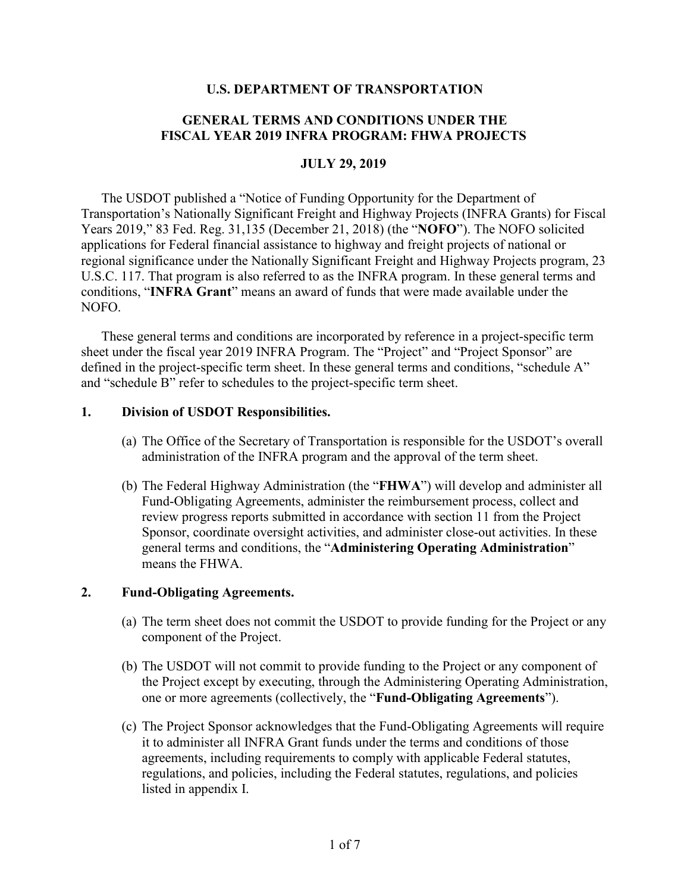#### **U.S. DEPARTMENT OF TRANSPORTATION**

# **GENERAL TERMS AND CONDITIONS UNDER THE FISCAL YEAR 2019 INFRA PROGRAM: FHWA PROJECTS**

## **JULY 29, 2019**

The USDOT published a "Notice of Funding Opportunity for the Department of Transportation's Nationally Significant Freight and Highway Projects (INFRA Grants) for Fiscal Years 2019," 83 Fed. Reg. 31,135 (December 21, 2018) (the "**NOFO**"). The NOFO solicited applications for Federal financial assistance to highway and freight projects of national or regional significance under the Nationally Significant Freight and Highway Projects program, 23 U.S.C. 117. That program is also referred to as the INFRA program. In these general terms and conditions, "**INFRA Grant**" means an award of funds that were made available under the NOFO.

These general terms and conditions are incorporated by reference in a project-specific term sheet under the fiscal year 2019 INFRA Program. The "Project" and "Project Sponsor" are defined in the project-specific term sheet. In these general terms and conditions, "schedule A" and "schedule B" refer to schedules to the project-specific term sheet.

#### **1. Division of USDOT Responsibilities.**

- (a) The Office of the Secretary of Transportation is responsible for the USDOT's overall administration of the INFRA program and the approval of the term sheet.
- (b) The Federal Highway Administration (the "**FHWA**") will develop and administer all Fund-Obligating Agreements, administer the reimbursement process, collect and review progress reports submitted in accordance with section 11 from the Project Sponsor, coordinate oversight activities, and administer close-out activities. In these general terms and conditions, the "**Administering Operating Administration**" means the FHWA.

## **2. Fund-Obligating Agreements.**

- (a) The term sheet does not commit the USDOT to provide funding for the Project or any component of the Project.
- (b) The USDOT will not commit to provide funding to the Project or any component of the Project except by executing, through the Administering Operating Administration, one or more agreements (collectively, the "**Fund-Obligating Agreements**").
- (c) The Project Sponsor acknowledges that the Fund-Obligating Agreements will require it to administer all INFRA Grant funds under the terms and conditions of those agreements, including requirements to comply with applicable Federal statutes, regulations, and policies, including the Federal statutes, regulations, and policies listed in appendix I.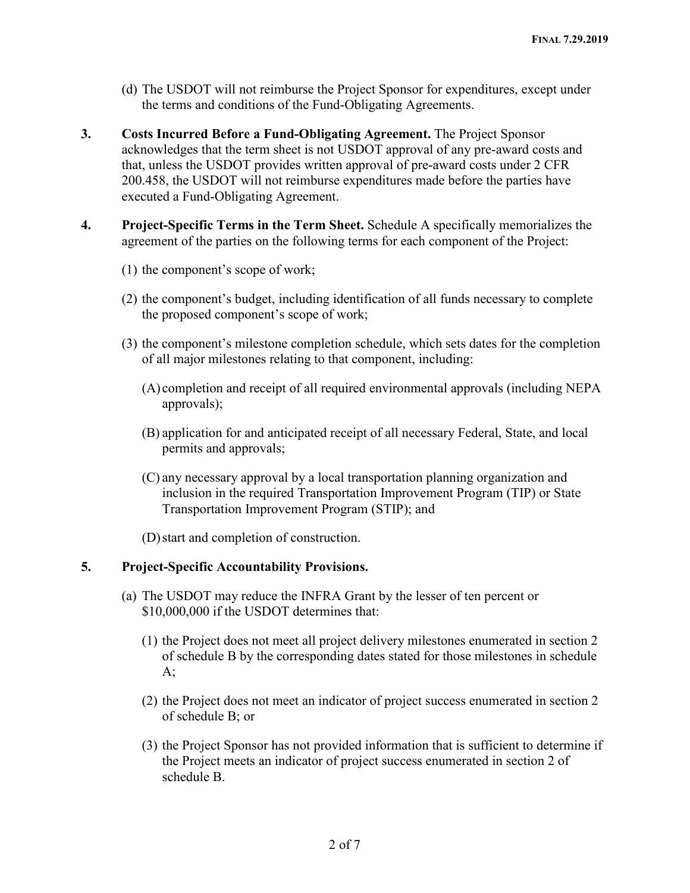- (d) The USDOT will not reimburse the Project Sponsor for expenditures, except under the terms and conditions of the Fund-Obligating Agreements.
- **3. Costs Incurred Before a Fund-Obligating Agreement.** The Project Sponsor acknowledges that the term sheet is not USDOT approval of any pre-award costs and that, unless the USDOT provides written approval of pre-award costs under 2 CFR 200.458, the USDOT will not reimburse expenditures made before the parties have executed a Fund-Obligating Agreement.
- **4. Project-Specific Terms in the Term Sheet.** Schedule A specifically memorializes the agreement of the parties on the following terms for each component of the Project:
	- (1) the component's scope of work;
	- (2) the component's budget, including identification of all funds necessary to complete the proposed component's scope of work;
	- (3) the component's milestone completion schedule, which sets dates for the completion of all major milestones relating to that component, including:
		- (A) completion and receipt of all required environmental approvals (including NEPA approvals);
		- (B) application for and anticipated receipt of all necessary Federal, State, and local permits and approvals;
		- (C) any necessary approval by a local transportation planning organization and inclusion in the required Transportation Improvement Program (TIP) or State Transportation Improvement Program (STIP); and
		- (D)start and completion of construction.

# **5. Project-Specific Accountability Provisions.**

- (a) The USDOT may reduce the INFRA Grant by the lesser of ten percent or \$10,000,000 if the USDOT determines that:
	- (1) the Project does not meet all project delivery milestones enumerated in section 2 of schedule B by the corresponding dates stated for those milestones in schedule  $A$ ;
	- (2) the Project does not meet an indicator of project success enumerated in section 2 of schedule B; or
	- (3) the Project Sponsor has not provided information that is sufficient to determine if the Project meets an indicator of project success enumerated in section 2 of schedule B.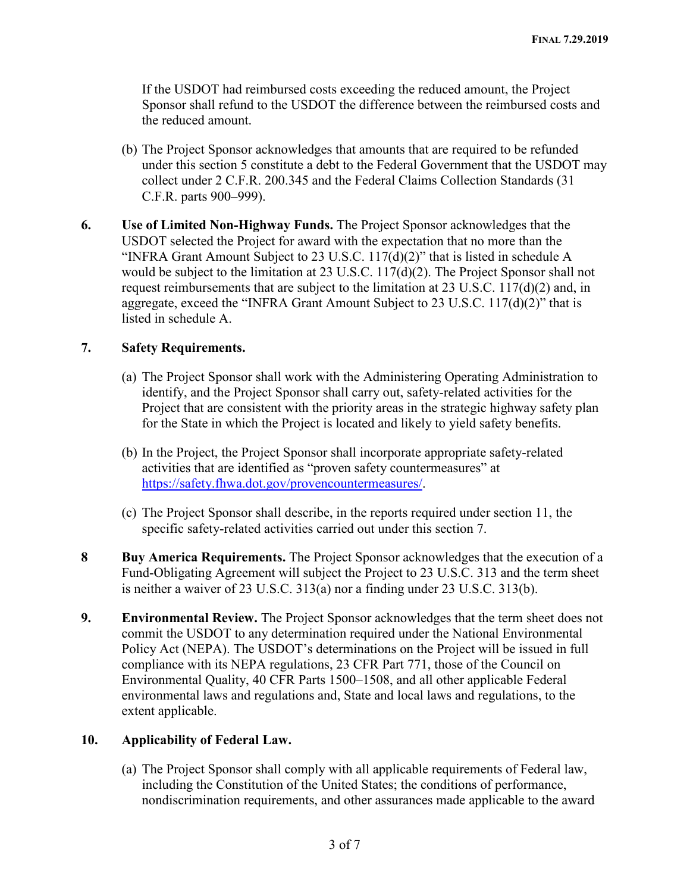If the USDOT had reimbursed costs exceeding the reduced amount, the Project Sponsor shall refund to the USDOT the difference between the reimbursed costs and the reduced amount.

- (b) The Project Sponsor acknowledges that amounts that are required to be refunded under this section 5 constitute a debt to the Federal Government that the USDOT may collect under 2 C.F.R. 200.345 and the Federal Claims Collection Standards (31 C.F.R. parts 900–999).
- **6. Use of Limited Non-Highway Funds.** The Project Sponsor acknowledges that the USDOT selected the Project for award with the expectation that no more than the "INFRA Grant Amount Subject to 23 U.S.C. 117(d)(2)" that is listed in schedule A would be subject to the limitation at 23 U.S.C. 117(d)(2). The Project Sponsor shall not request reimbursements that are subject to the limitation at 23 U.S.C. 117(d)(2) and, in aggregate, exceed the "INFRA Grant Amount Subject to 23 U.S.C. 117(d)(2)" that is listed in schedule A.

# **7. Safety Requirements.**

- (a) The Project Sponsor shall work with the Administering Operating Administration to identify, and the Project Sponsor shall carry out, safety-related activities for the Project that are consistent with the priority areas in the strategic highway safety plan for the State in which the Project is located and likely to yield safety benefits.
- (b) In the Project, the Project Sponsor shall incorporate appropriate safety-related activities that are identified as "proven safety countermeasures" at [https://safety.fhwa.dot.gov/provencountermeasures/.](https://safety.fhwa.dot.gov/provencountermeasures/)
- (c) The Project Sponsor shall describe, in the reports required under section 11, the specific safety-related activities carried out under this section 7.
- **8 Buy America Requirements.** The Project Sponsor acknowledges that the execution of a Fund-Obligating Agreement will subject the Project to 23 U.S.C. 313 and the term sheet is neither a waiver of 23 U.S.C. 313(a) nor a finding under 23 U.S.C. 313(b).
- **9. Environmental Review.** The Project Sponsor acknowledges that the term sheet does not commit the USDOT to any determination required under the National Environmental Policy Act (NEPA). The USDOT's determinations on the Project will be issued in full compliance with its NEPA regulations, 23 CFR Part 771, those of the Council on Environmental Quality, 40 CFR Parts 1500–1508, and all other applicable Federal environmental laws and regulations and, State and local laws and regulations, to the extent applicable.

## **10. Applicability of Federal Law.**

(a) The Project Sponsor shall comply with all applicable requirements of Federal law, including the Constitution of the United States; the conditions of performance, nondiscrimination requirements, and other assurances made applicable to the award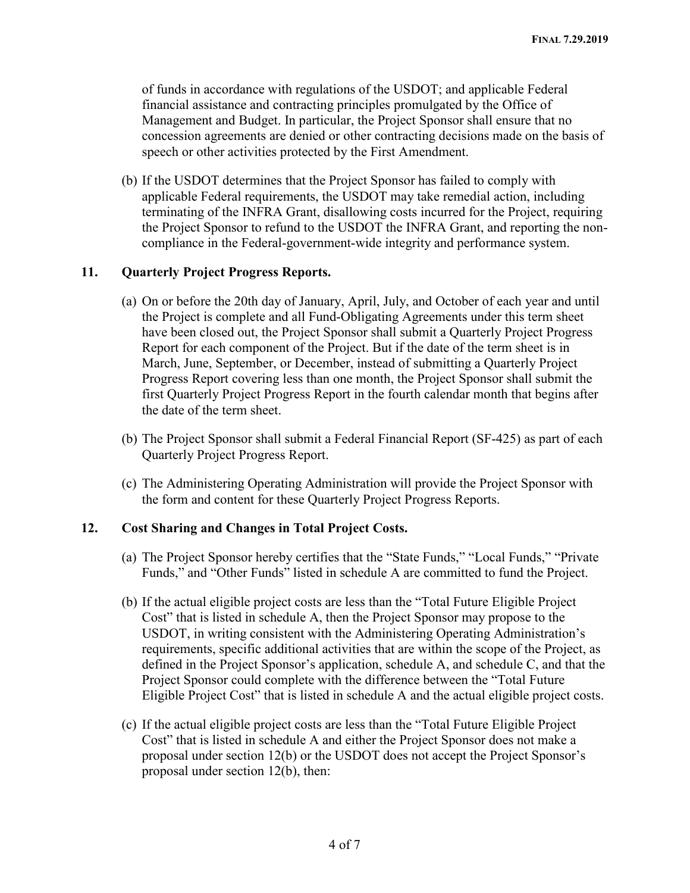of funds in accordance with regulations of the USDOT; and applicable Federal financial assistance and contracting principles promulgated by the Office of Management and Budget. In particular, the Project Sponsor shall ensure that no concession agreements are denied or other contracting decisions made on the basis of speech or other activities protected by the First Amendment.

(b) If the USDOT determines that the Project Sponsor has failed to comply with applicable Federal requirements, the USDOT may take remedial action, including terminating of the INFRA Grant, disallowing costs incurred for the Project, requiring the Project Sponsor to refund to the USDOT the INFRA Grant, and reporting the noncompliance in the Federal-government-wide integrity and performance system.

#### **11. Quarterly Project Progress Reports.**

- (a) On or before the 20th day of January, April, July, and October of each year and until the Project is complete and all Fund-Obligating Agreements under this term sheet have been closed out, the Project Sponsor shall submit a Quarterly Project Progress Report for each component of the Project. But if the date of the term sheet is in March, June, September, or December, instead of submitting a Quarterly Project Progress Report covering less than one month, the Project Sponsor shall submit the first Quarterly Project Progress Report in the fourth calendar month that begins after the date of the term sheet.
- (b) The Project Sponsor shall submit a Federal Financial Report (SF-425) as part of each Quarterly Project Progress Report.
- (c) The Administering Operating Administration will provide the Project Sponsor with the form and content for these Quarterly Project Progress Reports.

#### **12. Cost Sharing and Changes in Total Project Costs.**

- (a) The Project Sponsor hereby certifies that the "State Funds," "Local Funds," "Private Funds," and "Other Funds" listed in schedule A are committed to fund the Project.
- (b) If the actual eligible project costs are less than the "Total Future Eligible Project Cost" that is listed in schedule A, then the Project Sponsor may propose to the USDOT, in writing consistent with the Administering Operating Administration's requirements, specific additional activities that are within the scope of the Project, as defined in the Project Sponsor's application, schedule A, and schedule C, and that the Project Sponsor could complete with the difference between the "Total Future Eligible Project Cost" that is listed in schedule A and the actual eligible project costs.
- (c) If the actual eligible project costs are less than the "Total Future Eligible Project Cost" that is listed in schedule A and either the Project Sponsor does not make a proposal under section 12(b) or the USDOT does not accept the Project Sponsor's proposal under section 12(b), then: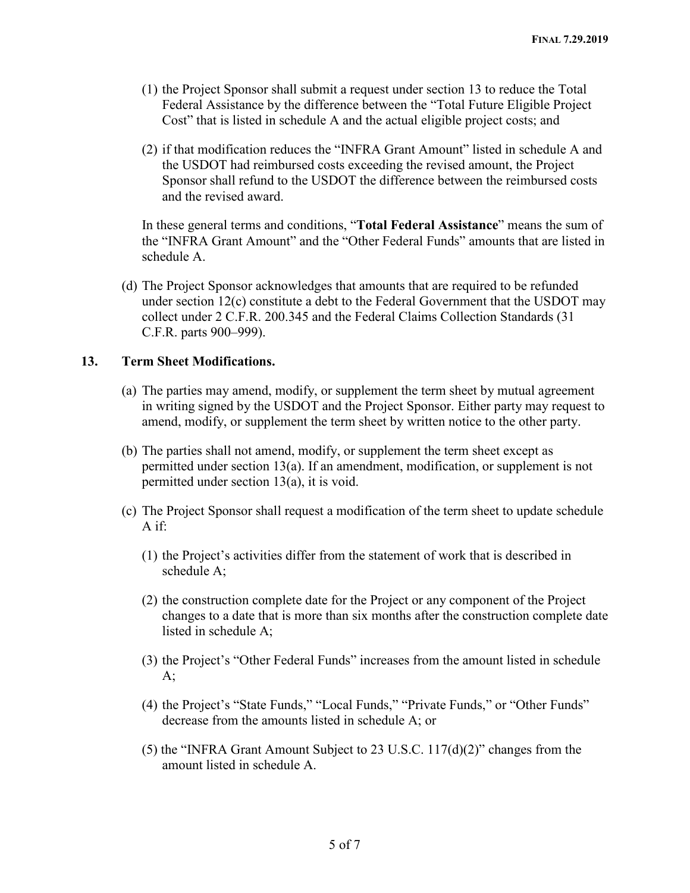- (1) the Project Sponsor shall submit a request under section 13 to reduce the Total Federal Assistance by the difference between the "Total Future Eligible Project Cost" that is listed in schedule A and the actual eligible project costs; and
- (2) if that modification reduces the "INFRA Grant Amount" listed in schedule A and the USDOT had reimbursed costs exceeding the revised amount, the Project Sponsor shall refund to the USDOT the difference between the reimbursed costs and the revised award.

In these general terms and conditions, "**Total Federal Assistance**" means the sum of the "INFRA Grant Amount" and the "Other Federal Funds" amounts that are listed in schedule A.

(d) The Project Sponsor acknowledges that amounts that are required to be refunded under section  $12(c)$  constitute a debt to the Federal Government that the USDOT may collect under 2 C.F.R. 200.345 and the Federal Claims Collection Standards (31 C.F.R. parts 900–999).

#### **13. Term Sheet Modifications.**

- (a) The parties may amend, modify, or supplement the term sheet by mutual agreement in writing signed by the USDOT and the Project Sponsor. Either party may request to amend, modify, or supplement the term sheet by written notice to the other party.
- (b) The parties shall not amend, modify, or supplement the term sheet except as permitted under section 13(a). If an amendment, modification, or supplement is not permitted under section 13(a), it is void.
- (c) The Project Sponsor shall request a modification of the term sheet to update schedule A if:
	- (1) the Project's activities differ from the statement of work that is described in schedule A;
	- (2) the construction complete date for the Project or any component of the Project changes to a date that is more than six months after the construction complete date listed in schedule A;
	- (3) the Project's "Other Federal Funds" increases from the amount listed in schedule  $A$ :
	- (4) the Project's "State Funds," "Local Funds," "Private Funds," or "Other Funds" decrease from the amounts listed in schedule A; or
	- (5) the "INFRA Grant Amount Subject to 23 U.S.C. 117(d)(2)" changes from the amount listed in schedule A.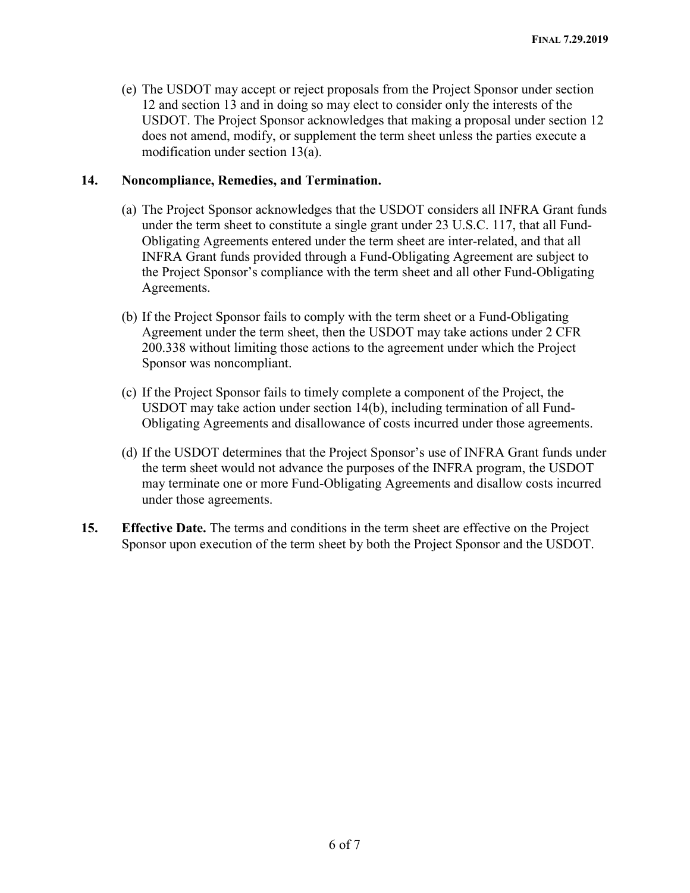(e) The USDOT may accept or reject proposals from the Project Sponsor under section 12 and section 13 and in doing so may elect to consider only the interests of the USDOT. The Project Sponsor acknowledges that making a proposal under section 12 does not amend, modify, or supplement the term sheet unless the parties execute a modification under section 13(a).

# **14. Noncompliance, Remedies, and Termination.**

- (a) The Project Sponsor acknowledges that the USDOT considers all INFRA Grant funds under the term sheet to constitute a single grant under 23 U.S.C. 117, that all Fund-Obligating Agreements entered under the term sheet are inter-related, and that all INFRA Grant funds provided through a Fund-Obligating Agreement are subject to the Project Sponsor's compliance with the term sheet and all other Fund-Obligating Agreements.
- (b) If the Project Sponsor fails to comply with the term sheet or a Fund-Obligating Agreement under the term sheet, then the USDOT may take actions under 2 CFR 200.338 without limiting those actions to the agreement under which the Project Sponsor was noncompliant.
- (c) If the Project Sponsor fails to timely complete a component of the Project, the USDOT may take action under section 14(b), including termination of all Fund-Obligating Agreements and disallowance of costs incurred under those agreements.
- (d) If the USDOT determines that the Project Sponsor's use of INFRA Grant funds under the term sheet would not advance the purposes of the INFRA program, the USDOT may terminate one or more Fund-Obligating Agreements and disallow costs incurred under those agreements.
- **15. Effective Date.** The terms and conditions in the term sheet are effective on the Project Sponsor upon execution of the term sheet by both the Project Sponsor and the USDOT.